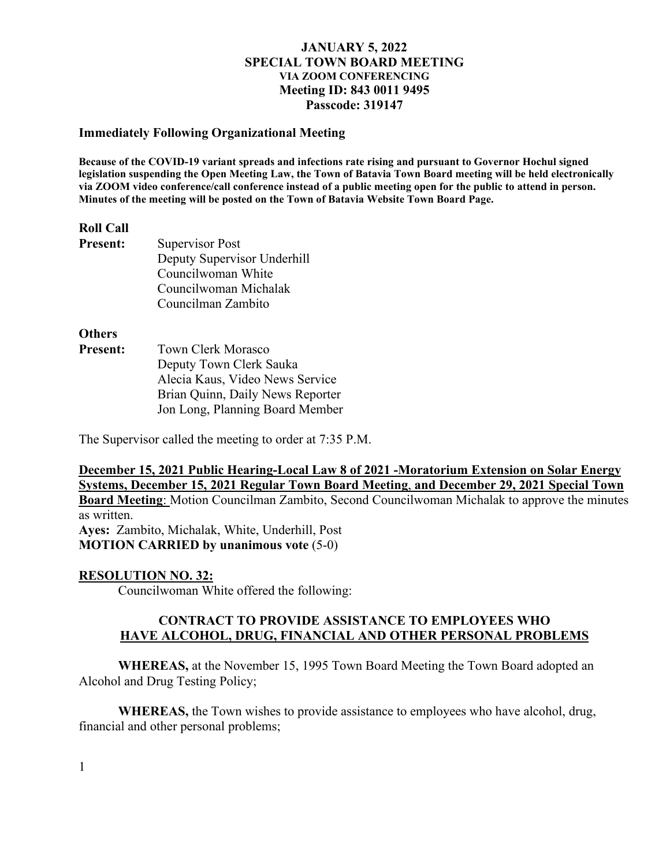#### **Immediately Following Organizational Meeting**

**Because of the COVID-19 variant spreads and infections rate rising and pursuant to Governor Hochul signed legislation suspending the Open Meeting Law, the Town of Batavia Town Board meeting will be held electronically via ZOOM video conference/call conference instead of a public meeting open for the public to attend in person. Minutes of the meeting will be posted on the Town of Batavia Website Town Board Page.**

#### **Roll Call**

| <b>Present:</b> | Supervisor Post             |
|-----------------|-----------------------------|
|                 | Deputy Supervisor Underhill |
|                 | Councilwoman White          |
|                 | Councilwoman Michalak       |
|                 | Councilman Zambito          |

**Others**

**Present:** Town Clerk Morasco Deputy Town Clerk Sauka Alecia Kaus, Video News Service Brian Quinn, Daily News Reporter Jon Long, Planning Board Member

The Supervisor called the meeting to order at 7:35 P.M.

# **December 15, 2021 Public Hearing-Local Law 8 of 2021 -Moratorium Extension on Solar Energy Systems, December 15, 2021 Regular Town Board Meeting**, **and December 29, 2021 Special Town**

**Board Meeting**: Motion Councilman Zambito, Second Councilwoman Michalak to approve the minutes as written.

**Ayes:** Zambito, Michalak, White, Underhill, Post **MOTION CARRIED by unanimous vote** (5-0)

# **RESOLUTION NO. 32:**

Councilwoman White offered the following:

# **CONTRACT TO PROVIDE ASSISTANCE TO EMPLOYEES WHO HAVE ALCOHOL, DRUG, FINANCIAL AND OTHER PERSONAL PROBLEMS**

**WHEREAS,** at the November 15, 1995 Town Board Meeting the Town Board adopted an Alcohol and Drug Testing Policy;

**WHEREAS,** the Town wishes to provide assistance to employees who have alcohol, drug, financial and other personal problems;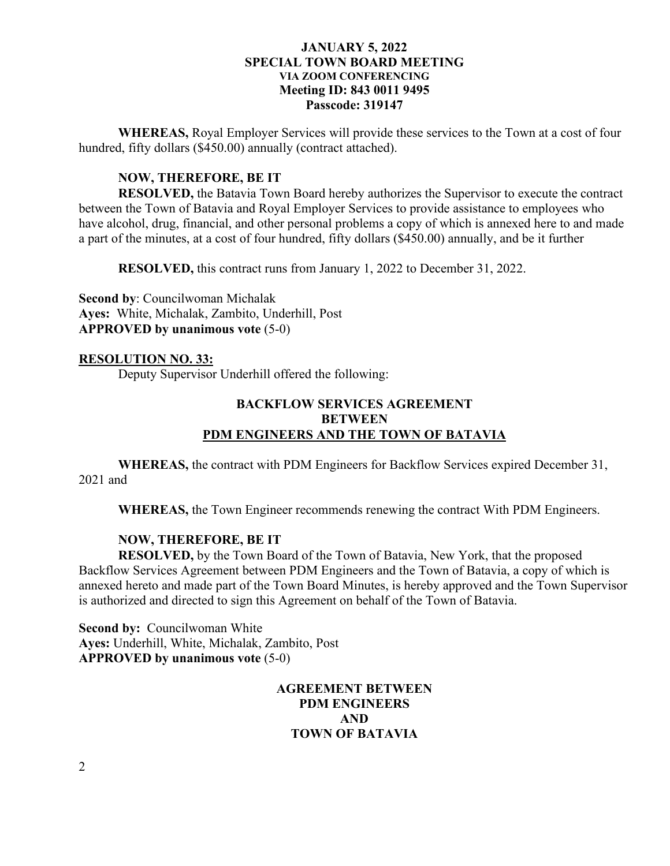**WHEREAS,** Royal Employer Services will provide these services to the Town at a cost of four hundred, fifty dollars (\$450.00) annually (contract attached).

# **NOW, THEREFORE, BE IT**

**RESOLVED,** the Batavia Town Board hereby authorizes the Supervisor to execute the contract between the Town of Batavia and Royal Employer Services to provide assistance to employees who have alcohol, drug, financial, and other personal problems a copy of which is annexed here to and made a part of the minutes, at a cost of four hundred, fifty dollars (\$450.00) annually, and be it further

**RESOLVED,** this contract runs from January 1, 2022 to December 31, 2022.

**Second by**: Councilwoman Michalak **Ayes:** White, Michalak, Zambito, Underhill, Post **APPROVED by unanimous vote** (5-0)

# **RESOLUTION NO. 33:**

Deputy Supervisor Underhill offered the following:

# **BACKFLOW SERVICES AGREEMENT BETWEEN PDM ENGINEERS AND THE TOWN OF BATAVIA**

**WHEREAS,** the contract with PDM Engineers for Backflow Services expired December 31, 2021 and

**WHEREAS,** the Town Engineer recommends renewing the contract With PDM Engineers.

# **NOW, THEREFORE, BE IT**

**RESOLVED,** by the Town Board of the Town of Batavia, New York, that the proposed Backflow Services Agreement between PDM Engineers and the Town of Batavia, a copy of which is annexed hereto and made part of the Town Board Minutes, is hereby approved and the Town Supervisor is authorized and directed to sign this Agreement on behalf of the Town of Batavia.

**Second by: Councilwoman White Ayes:** Underhill, White, Michalak, Zambito, Post **APPROVED by unanimous vote** (5-0)

# **AGREEMENT BETWEEN PDM ENGINEERS AND TOWN OF BATAVIA**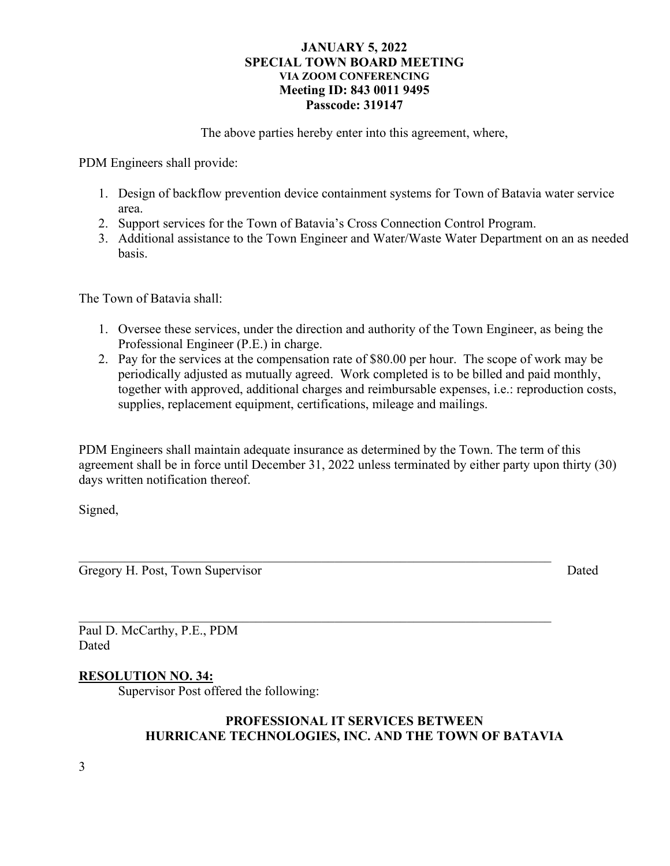The above parties hereby enter into this agreement, where,

PDM Engineers shall provide:

- 1. Design of backflow prevention device containment systems for Town of Batavia water service area.
- 2. Support services for the Town of Batavia's Cross Connection Control Program.
- 3. Additional assistance to the Town Engineer and Water/Waste Water Department on an as needed basis.

The Town of Batavia shall:

- 1. Oversee these services, under the direction and authority of the Town Engineer, as being the Professional Engineer (P.E.) in charge.
- 2. Pay for the services at the compensation rate of \$80.00 per hour. The scope of work may be periodically adjusted as mutually agreed. Work completed is to be billed and paid monthly, together with approved, additional charges and reimbursable expenses, i.e.: reproduction costs, supplies, replacement equipment, certifications, mileage and mailings.

PDM Engineers shall maintain adequate insurance as determined by the Town. The term of this agreement shall be in force until December 31, 2022 unless terminated by either party upon thirty (30) days written notification thereof.

 $\mathcal{L}_\text{G}$  , and the contribution of the contribution of the contribution of the contribution of the contribution of the contribution of the contribution of the contribution of the contribution of the contribution of t

Signed,

Gregory H. Post, Town Supervisor Dated

Paul D. McCarthy, P.E., PDM Dated

# **RESOLUTION NO. 34:**

Supervisor Post offered the following:

# **PROFESSIONAL IT SERVICES BETWEEN HURRICANE TECHNOLOGIES, INC. AND THE TOWN OF BATAVIA**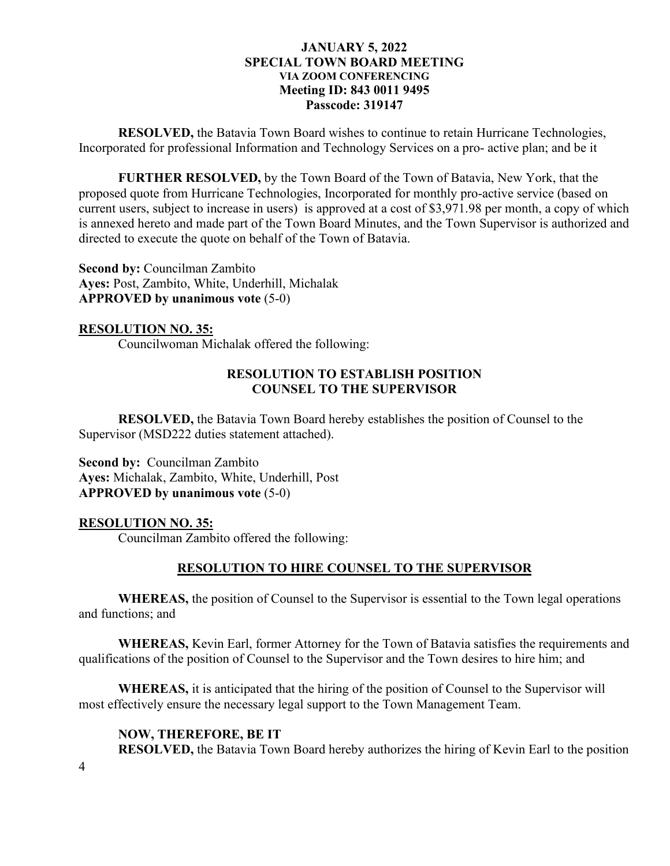**RESOLVED,** the Batavia Town Board wishes to continue to retain Hurricane Technologies, Incorporated for professional Information and Technology Services on a pro- active plan; and be it

**FURTHER RESOLVED,** by the Town Board of the Town of Batavia, New York, that the proposed quote from Hurricane Technologies, Incorporated for monthly pro-active service (based on current users, subject to increase in users) is approved at a cost of \$3,971.98 per month, a copy of which is annexed hereto and made part of the Town Board Minutes, and the Town Supervisor is authorized and directed to execute the quote on behalf of the Town of Batavia.

**Second by:** Councilman Zambito **Ayes:** Post, Zambito, White, Underhill, Michalak **APPROVED by unanimous vote** (5-0)

# **RESOLUTION NO. 35:**

Councilwoman Michalak offered the following:

# **RESOLUTION TO ESTABLISH POSITION COUNSEL TO THE SUPERVISOR**

**RESOLVED,** the Batavia Town Board hereby establishes the position of Counsel to the Supervisor (MSD222 duties statement attached).

**Second by:** Councilman Zambito **Ayes:** Michalak, Zambito, White, Underhill, Post **APPROVED by unanimous vote** (5-0)

# **RESOLUTION NO. 35:**

Councilman Zambito offered the following:

# **RESOLUTION TO HIRE COUNSEL TO THE SUPERVISOR**

**WHEREAS,** the position of Counsel to the Supervisor is essential to the Town legal operations and functions; and

**WHEREAS,** Kevin Earl, former Attorney for the Town of Batavia satisfies the requirements and qualifications of the position of Counsel to the Supervisor and the Town desires to hire him; and

**WHEREAS,** it is anticipated that the hiring of the position of Counsel to the Supervisor will most effectively ensure the necessary legal support to the Town Management Team.

# **NOW, THEREFORE, BE IT**

**RESOLVED,** the Batavia Town Board hereby authorizes the hiring of Kevin Earl to the position

4